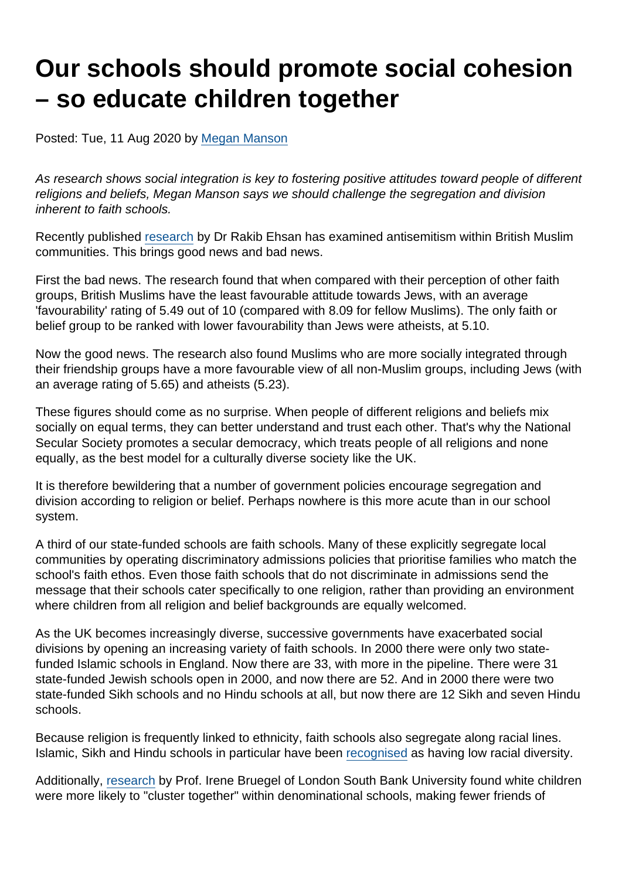# Our schools should promote social cohesion – so educate children together

Posted: Tue, 11 Aug 2020 by [Megan Manson](https://www.secularism.org.uk/opinion/authors/971)

As research shows social integration is key to fostering positive attitudes toward people of different religions and beliefs, Megan Manson says we should challenge the segregation and division inherent to faith schools.

Recently published [research](https://henryjacksonsociety.org/wp-content/uploads/2020/08/HJS-British-Muslim-Anti-Semitism-Report-web-1.pdf) by Dr Rakib Ehsan has examined antisemitism within British Muslim communities. This brings good news and bad news.

First the bad news. The research found that when compared with their perception of other faith groups, British Muslims have the least favourable attitude towards Jews, with an average 'favourability' rating of 5.49 out of 10 (compared with 8.09 for fellow Muslims). The only faith or belief group to be ranked with lower favourability than Jews were atheists, at 5.10.

Now the good news. The research also found Muslims who are more socially integrated through their friendship groups have a more favourable view of all non-Muslim groups, including Jews (with an average rating of 5.65) and atheists (5.23).

These figures should come as no surprise. When people of different religions and beliefs mix socially on equal terms, they can better understand and trust each other. That's why the National Secular Society promotes a secular democracy, which treats people of all religions and none equally, as the best model for a culturally diverse society like the UK.

It is therefore bewildering that a number of government policies encourage segregation and division according to religion or belief. Perhaps nowhere is this more acute than in our school system.

A third of our state-funded schools are faith schools. Many of these explicitly segregate local communities by operating discriminatory admissions policies that prioritise families who match the school's faith ethos. Even those faith schools that do not discriminate in admissions send the message that their schools cater specifically to one religion, rather than providing an environment where children from all religion and belief backgrounds are equally welcomed.

As the UK becomes increasingly diverse, successive governments have exacerbated social divisions by opening an increasing variety of faith schools. In 2000 there were only two statefunded Islamic schools in England. Now there are 33, with more in the pipeline. There were 31 state-funded Jewish schools open in 2000, and now there are 52. And in 2000 there were two state-funded Sikh schools and no Hindu schools at all, but now there are 12 Sikh and seven Hindu schools.

Because religion is frequently linked to ethnicity, faith schools also segregate along racial lines. Islamic, Sikh and Hindu schools in particular have been [recognised](http://tedcantle.co.uk/wp-content/uploads/2013/03/Understanding-School-Segregation-in-England-2011-2016-Final.pdf) as having low racial diversity.

Additionally, [research](https://www.secularism.org.uk/uploads/social-cohesion-sharing-crisps-with-someone-different.pdf) by Prof. Irene Bruegel of London South Bank University found white children were more likely to "cluster together" within denominational schools, making fewer friends of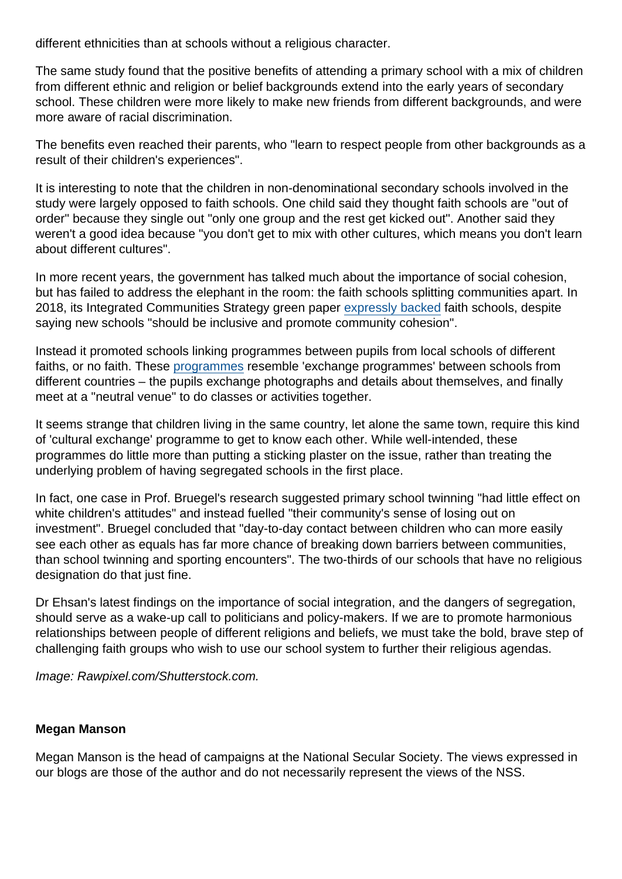different ethnicities than at schools without a religious character.

The same study found that the positive benefits of attending a primary school with a mix of children from different ethnic and religion or belief backgrounds extend into the early years of secondary school. These children were more likely to make new friends from different backgrounds, and were more aware of racial discrimination.

The benefits even reached their parents, who "learn to respect people from other backgrounds as a result of their children's experiences".

It is interesting to note that the children in non-denominational secondary schools involved in the study were largely opposed to faith schools. One child said they thought faith schools are "out of order" because they single out "only one group and the rest get kicked out". Another said they weren't a good idea because "you don't get to mix with other cultures, which means you don't learn about different cultures".

In more recent years, the government has talked much about the importance of social cohesion, but has failed to address the elephant in the room: the faith schools splitting communities apart. In 2018, its Integrated Communities Strategy green paper [expressly backed](https://www.secularism.org.uk/news/2018/06/nss-says-integration-efforts-should-focus-on-common-citizenship) faith schools, despite saying new schools "should be inclusive and promote community cohesion".

Instead it promoted schools linking programmes between pupils from local schools of different faiths, or no faith. These [programmes](https://thelinkingnetwork.org.uk/what-we-do/school-linking/) resemble 'exchange programmes' between schools from different countries – the pupils exchange photographs and details about themselves, and finally meet at a "neutral venue" to do classes or activities together.

It seems strange that children living in the same country, let alone the same town, require this kind of 'cultural exchange' programme to get to know each other. While well-intended, these programmes do little more than putting a sticking plaster on the issue, rather than treating the underlying problem of having segregated schools in the first place.

In fact, one case in Prof. Bruegel's research suggested primary school twinning "had little effect on white children's attitudes" and instead fuelled "their community's sense of losing out on investment". Bruegel concluded that "day-to-day contact between children who can more easily see each other as equals has far more chance of breaking down barriers between communities, than school twinning and sporting encounters". The two-thirds of our schools that have no religious designation do that just fine.

Dr Ehsan's latest findings on the importance of social integration, and the dangers of segregation, should serve as a wake-up call to politicians and policy-makers. If we are to promote harmonious relationships between people of different religions and beliefs, we must take the bold, brave step of challenging faith groups who wish to use our school system to further their religious agendas.

Image: Rawpixel.com/Shutterstock.com.

#### Megan Manson

Megan Manson is the head of campaigns at the National Secular Society. The views expressed in our blogs are those of the author and do not necessarily represent the views of the NSS.